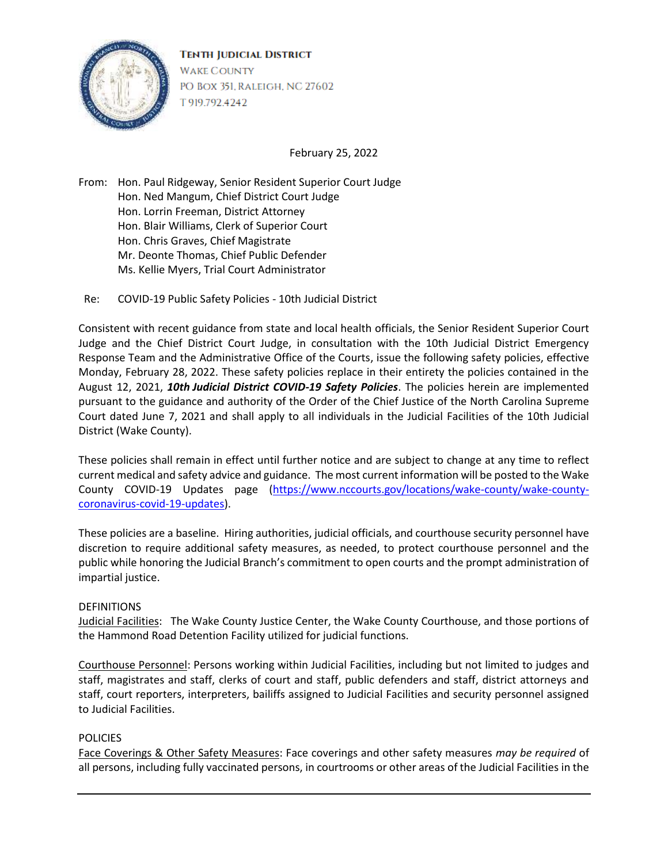

February 25, 2022

From: Hon. Paul Ridgeway, Senior Resident Superior Court Judge Hon. Ned Mangum, Chief District Court Judge Hon. Lorrin Freeman, District Attorney Hon. Blair Williams, Clerk of Superior Court Hon. Chris Graves, Chief Magistrate Mr. Deonte Thomas, Chief Public Defender Ms. Kellie Myers, Trial Court Administrator

Re: COVID-19 Public Safety Policies - 10th Judicial District

Consistent with recent guidance from state and local health officials, the Senior Resident Superior Court Judge and the Chief District Court Judge, in consultation with the 10th Judicial District Emergency Response Team and the Administrative Office of the Courts, issue the following safety policies, effective Monday, February 28, 2022. These safety policies replace in their entirety the policies contained in the August 12, 2021, *10th Judicial District COVID-19 Safety Policies*. The policies herein are implemented pursuant to the guidance and authority of the Order of the Chief Justice of the North Carolina Supreme Court dated June 7, 2021 and shall apply to all individuals in the Judicial Facilities of the 10th Judicial District (Wake County).

These policies shall remain in effect until further notice and are subject to change at any time to reflect current medical and safety advice and guidance. The most current information will be posted to the Wake County COVID-19 Updates page [\(https://www.nccourts.gov/locations/wake-county/wake-county](https://www.nccourts.gov/locations/wake-county/wake-county-coronavirus-covid-19-updates)[coronavirus-covid-19-updates\)](https://www.nccourts.gov/locations/wake-county/wake-county-coronavirus-covid-19-updates).

These policies are a baseline. Hiring authorities, judicial officials, and courthouse security personnel have discretion to require additional safety measures, as needed, to protect courthouse personnel and the public while honoring the Judicial Branch's commitment to open courts and the prompt administration of impartial justice.

## **DEFINITIONS**

Judicial Facilities: The Wake County Justice Center, the Wake County Courthouse, and those portions of the Hammond Road Detention Facility utilized for judicial functions.

Courthouse Personnel: Persons working within Judicial Facilities, including but not limited to judges and staff, magistrates and staff, clerks of court and staff, public defenders and staff, district attorneys and staff, court reporters, interpreters, bailiffs assigned to Judicial Facilities and security personnel assigned to Judicial Facilities.

## **POLICIES**

Face Coverings & Other Safety Measures: Face coverings and other safety measures *may be required* of all persons, including fully vaccinated persons, in courtrooms or other areas of the Judicial Facilities in the